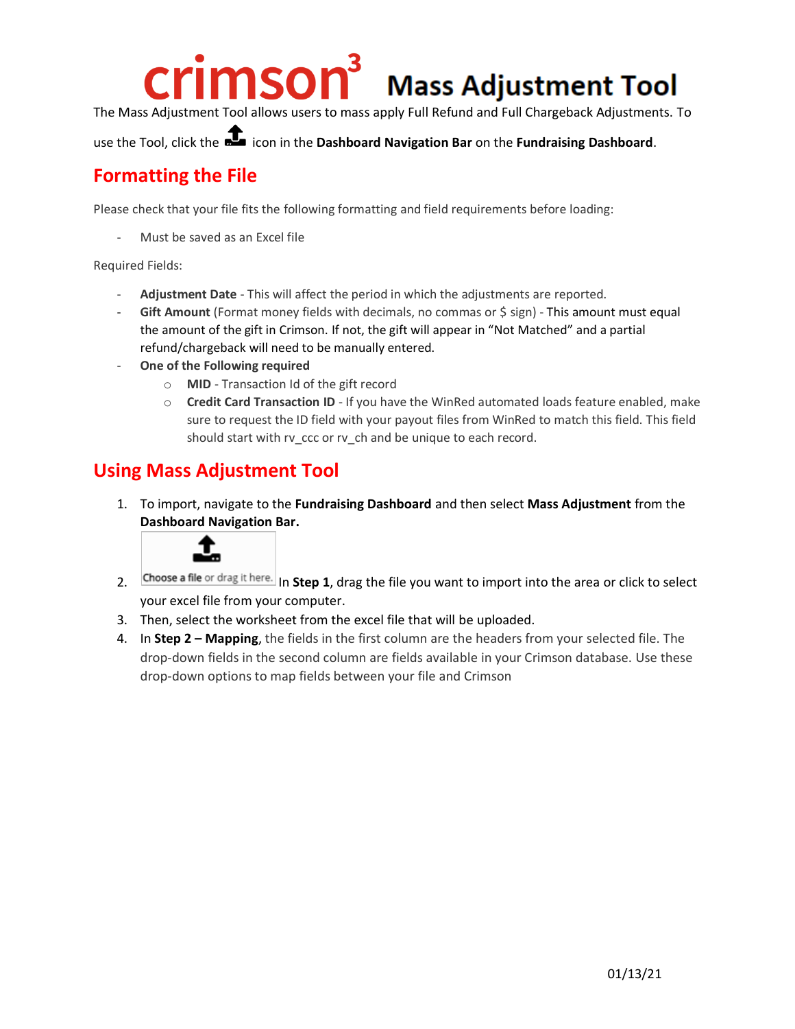## crimsor

## **Mass Adjustment Tool**

The Mass Adjustment Tool allows users to mass apply Full Refund and Full Chargeback Adjustments. To

use the Tool, click the icon in the **Dashboard Navigation Bar** on the **Fundraising Dashboard**.

## **Formatting the File**

Please check that your file fits the following formatting and field requirements before loading:

Must be saved as an Excel file

Required Fields:

- **Adjustment Date** This will affect the period in which the adjustments are reported.
- Gift Amount (Format money fields with decimals, no commas or \$ sign) This amount must equal the amount of the gift in Crimson. If not, the gift will appear in "Not Matched" and a partial refund/chargeback will need to be manually entered.
- **One of the Following required**
	- o **MID**  Transaction Id of the gift record
	- o **Credit Card Transaction ID** If you have the WinRed automated loads feature enabled, make sure to request the ID field with your payout files from WinRed to match this field. This field should start with rv\_ccc or rv\_ch and be unique to each record.

## **Using Mass Adjustment Tool**

1. To import, navigate to the **Fundraising Dashboard** and then select **Mass Adjustment** from the **Dashboard Navigation Bar.**



- 2. Choose a file or drag it here. In Step 1, drag the file you want to import into the area or click to select your excel file from your computer.
- 3. Then, select the worksheet from the excel file that will be uploaded.
- 4. In **Step 2 – Mapping**, the fields in the first column are the headers from your selected file. The drop-down fields in the second column are fields available in your Crimson database. Use these drop-down options to map fields between your file and Crimson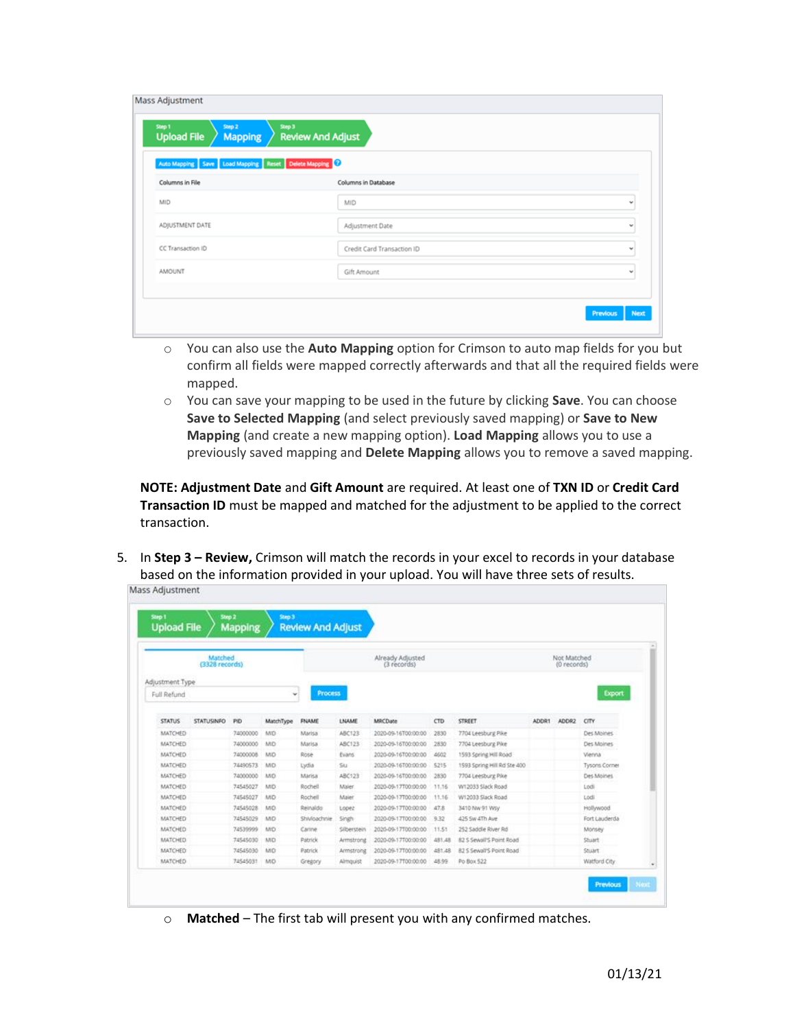| <b>Review And Adjust</b><br><b>Upload File</b><br><b>Mapping</b> |                            |   |  |  |  |  |
|------------------------------------------------------------------|----------------------------|---|--|--|--|--|
| Auto Mapping Save Load Mapping Reset Delete Mapping              |                            |   |  |  |  |  |
| Columns in File                                                  | Columns in Database        |   |  |  |  |  |
| MID                                                              | MID                        | v |  |  |  |  |
| ADJUSTMENT DATE                                                  | Adjustment Date            | v |  |  |  |  |
| CC Transaction ID                                                | Credit Card Transaction ID | v |  |  |  |  |
| AMOUNT                                                           | Gift Amount                | w |  |  |  |  |
|                                                                  |                            |   |  |  |  |  |

- o You can also use the **Auto Mapping** option for Crimson to auto map fields for you but confirm all fields were mapped correctly afterwards and that all the required fields were mapped.
- o You can save your mapping to be used in the future by clicking **Save**. You can choose **Save to Selected Mapping** (and select previously saved mapping) or **Save to New Mapping** (and create a new mapping option). **Load Mapping** allows you to use a previously saved mapping and **Delete Mapping** allows you to remove a saved mapping.

**NOTE: Adjustment Date** and **Gift Amount** are required. At least one of **TXN ID** or **Credit Card Transaction ID** must be mapped and matched for the adjustment to be applied to the correct transaction.

5. In **Step 3 – Review,** Crimson will match the records in your excel to records in your database based on the information provided in your upload. You will have three sets of results.<br>Mass Adjustment

| Matched<br>(3328 records) |                   |          | Already Adjusted<br>(3 records) |              |                 |                     | Not Matched<br>(0 records) |                             |       |               |               |
|---------------------------|-------------------|----------|---------------------------------|--------------|-----------------|---------------------|----------------------------|-----------------------------|-------|---------------|---------------|
| Adjustment Type           |                   |          |                                 |              |                 |                     |                            |                             |       |               |               |
| Full Refund<br>v.         |                   |          | <b>Process</b>                  |              |                 |                     |                            |                             |       | <b>Export</b> |               |
|                           |                   |          |                                 |              |                 |                     |                            |                             |       |               |               |
| <b>STATUS</b>             | <b>STATUSINFO</b> | PID      | MatchType                       | <b>FNAME</b> | LNAME           | MRCDate             | CTD.                       | <b>STREET</b>               | ADDR1 | ADDR2         | CITY          |
| MATCHED                   |                   | 74000000 | MO                              | Marisa       | ABC123          | 2020-09-16T00:00:00 | 2830                       | 7704 Leesburg Pike          |       |               | Des Moines    |
| MATCHED                   |                   | 74000000 | MD                              | Marisa       | ABC123          | 2020-09-16T00:00:00 | 2830                       | 7704 Leesburg Pike          |       |               | Des Moines    |
| MATCHED                   |                   | 74000008 | MO                              | Rose         | Evans.          | 2020-09-16700:00:00 | 4602                       | 1593 Spring Hill Road       |       |               | Vienna        |
| MATCHED                   |                   | 74490573 | MD                              | Lydia        | Siu             | 2020-09-16T00:00:00 | 5215                       | 1593 Spring Hill Rd Ste 400 |       |               | Tysons Corner |
| MATCHED                   |                   | 74000000 | MO                              | Marisa       | ABC123          | 2020-09-16700:00:00 | 2830                       | 7704 Leesburg Pike          |       |               | Des Moines    |
| MATCHED                   |                   | 74545027 | MD                              | Rochell      | Maler           | 2020-09-17T00:00:00 | 11.16                      | W12033 Slack Road           |       |               | Lodi          |
| MATCHED                   |                   | 74545027 | MD.                             | Rochell      | Maier           | 2020-09-17700:00:00 | 11.16                      | W12033 Slack Road           |       |               | Lodi          |
| MATCHED                   |                   | 74545028 | MO                              | Reinaldo     | Lopez           | 2020-09-17T00:00:00 | 47.8                       | 3410 NW 91 Wsv              |       |               | Hollywood     |
| MATCHED                   |                   | 74545029 | MD.                             | Shivloachnie | Singh           | 2020-09-17T00:00:00 | 9.32                       | 425 Sw 4Th Ave              |       |               | Fort Lauderda |
| MATCHED                   |                   | 74539999 | MD                              | Carine       | Silberstein     | 2020-09-17T00:00:00 | 11.51                      | 252 Saddle River Rd         |       |               | Monsey        |
| MATCHED                   |                   | 74545030 | MO                              | Patrick      | Armstrong       | 2020-09-17100:00:00 | 481,48                     | 82 S Sewall'S Point Road    |       |               | Stuart        |
| MATCHED                   |                   | 74545030 | MD                              | Patrick      | Armstrong       | 2020-09-17700:00:00 | 481.48                     | 82 S Sewall'S Point Road    |       |               | Souart        |
| MATCHED                   |                   | 74545031 | MD                              | Gregory      | <b>Almguist</b> | 2020-09-17100:00:00 | 48.99                      | Po Box 522                  |       |               | Watford City  |

o **Matched** – The first tab will present you with any confirmed matches.